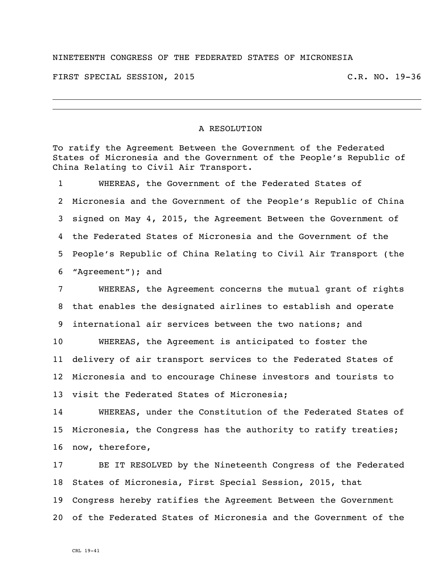## NINETEENTH CONGRESS OF THE FEDERATED STATES OF MICRONESIA

FIRST SPECIAL SESSION, 2015 C.R. NO. 19-36

## A RESOLUTION

To ratify the Agreement Between the Government of the Federated States of Micronesia and the Government of the People's Republic of China Relating to Civil Air Transport.

 WHEREAS, the Government of the Federated States of Micronesia and the Government of the People's Republic of China signed on May 4, 2015, the Agreement Between the Government of the Federated States of Micronesia and the Government of the People's Republic of China Relating to Civil Air Transport (the "Agreement"); and

 WHEREAS, the Agreement concerns the mutual grant of rights that enables the designated airlines to establish and operate international air services between the two nations; and WHEREAS, the Agreement is anticipated to foster the delivery of air transport services to the Federated States of Micronesia and to encourage Chinese investors and tourists to

visit the Federated States of Micronesia;

 WHEREAS, under the Constitution of the Federated States of Micronesia, the Congress has the authority to ratify treaties; now, therefore,

 BE IT RESOLVED by the Nineteenth Congress of the Federated States of Micronesia, First Special Session, 2015, that Congress hereby ratifies the Agreement Between the Government of the Federated States of Micronesia and the Government of the